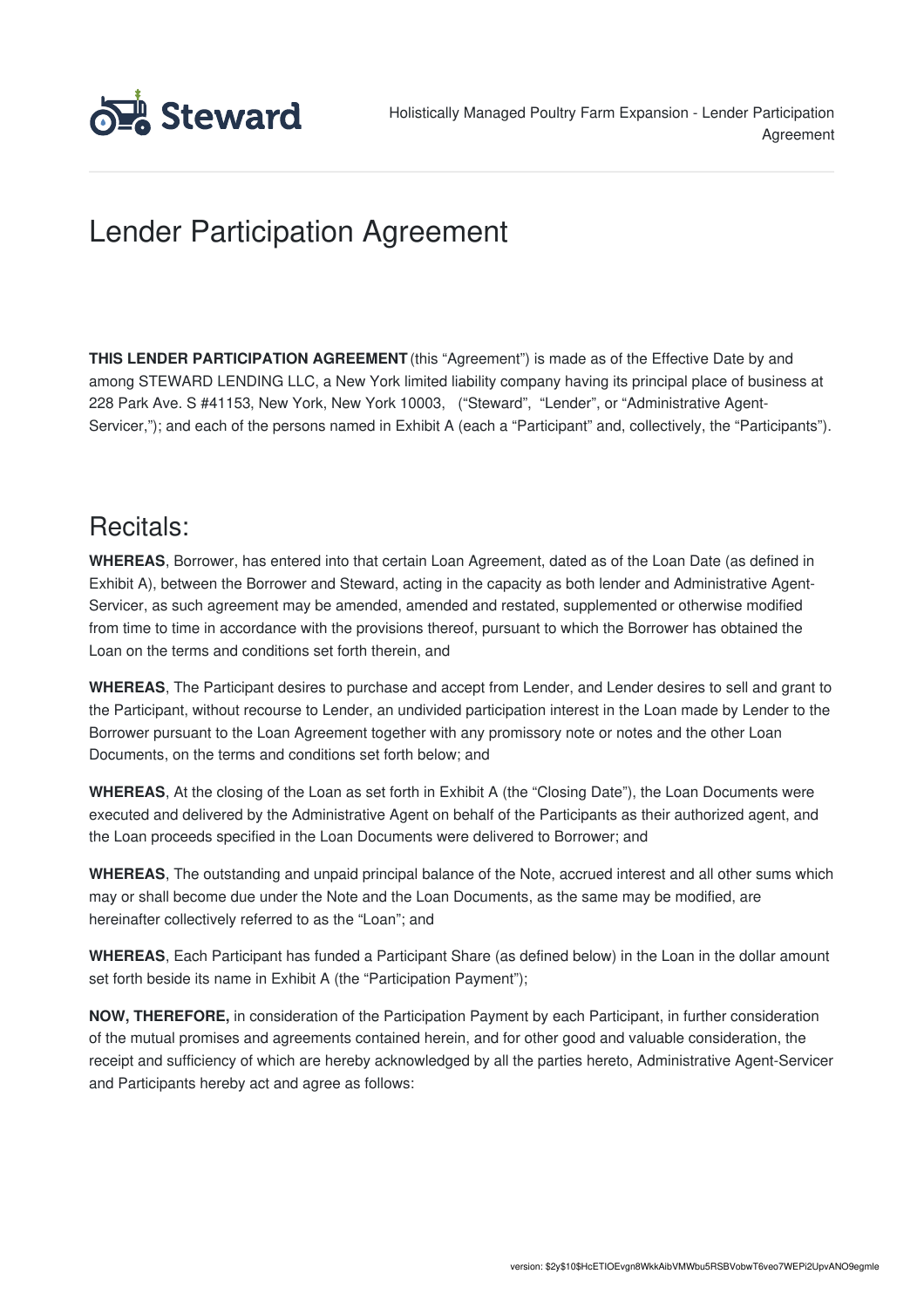

# Lender Participation Agreement

**THIS LENDER PARTICIPATION AGREEMENT** (this "Agreement") is made as of the Effective Date by and among STEWARD LENDING LLC, a New York limited liability company having its principal place of business at 228 Park Ave. S #41153, New York, New York 10003, ("Steward", "Lender", or "Administrative Agent-Servicer,"); and each of the persons named in Exhibit A (each a "Participant" and, collectively, the "Participants").

### Recitals:

**WHEREAS**, Borrower, has entered into that certain Loan Agreement, dated as of the Loan Date (as defined in Exhibit A), between the Borrower and Steward, acting in the capacity as both lender and Administrative Agent-Servicer, as such agreement may be amended, amended and restated, supplemented or otherwise modified from time to time in accordance with the provisions thereof, pursuant to which the Borrower has obtained the Loan on the terms and conditions set forth therein, and

**WHEREAS**, The Participant desires to purchase and accept from Lender, and Lender desires to sell and grant to the Participant, without recourse to Lender, an undivided participation interest in the Loan made by Lender to the Borrower pursuant to the Loan Agreement together with any promissory note or notes and the other Loan Documents, on the terms and conditions set forth below; and

**WHEREAS**, At the closing of the Loan as set forth in Exhibit A (the "Closing Date"), the Loan Documents were executed and delivered by the Administrative Agent on behalf of the Participants as their authorized agent, and the Loan proceeds specified in the Loan Documents were delivered to Borrower; and

**WHEREAS**, The outstanding and unpaid principal balance of the Note, accrued interest and all other sums which may or shall become due under the Note and the Loan Documents, as the same may be modified, are hereinafter collectively referred to as the "Loan"; and

**WHEREAS**, Each Participant has funded a Participant Share (as defined below) in the Loan in the dollar amount set forth beside its name in Exhibit A (the "Participation Payment");

**NOW, THEREFORE,** in consideration of the Participation Payment by each Participant, in further consideration of the mutual promises and agreements contained herein, and for other good and valuable consideration, the receipt and sufficiency of which are hereby acknowledged by all the parties hereto, Administrative Agent-Servicer and Participants hereby act and agree as follows: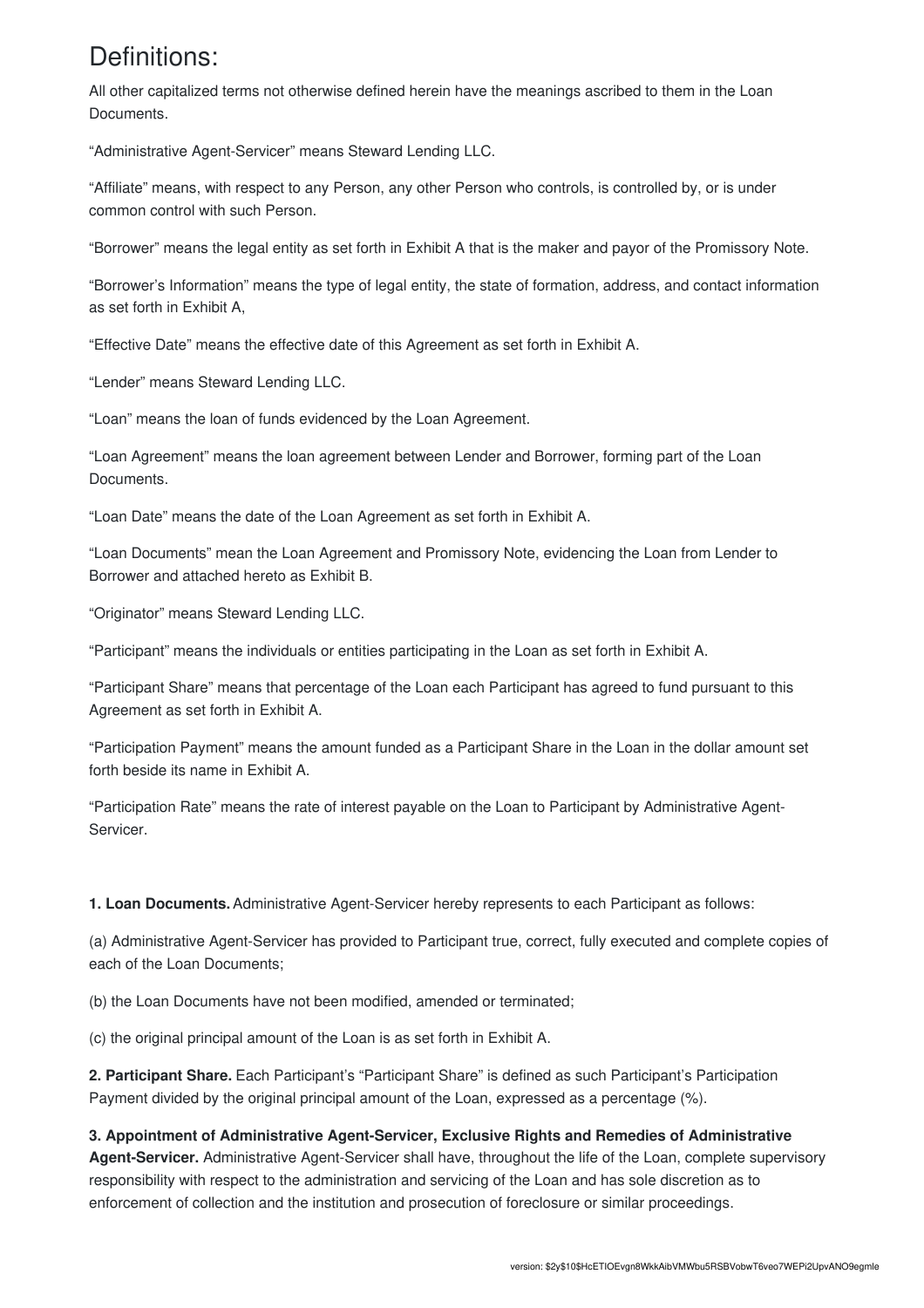### Definitions:

All other capitalized terms not otherwise defined herein have the meanings ascribed to them in the Loan Documents.

"Administrative Agent-Servicer" means Steward Lending LLC.

"Affiliate" means, with respect to any Person, any other Person who controls, is controlled by, or is under common control with such Person.

"Borrower" means the legal entity as set forth in Exhibit A that is the maker and payor of the Promissory Note.

"Borrower's Information" means the type of legal entity, the state of formation, address, and contact information as set forth in Exhibit A,

"Effective Date" means the effective date of this Agreement as set forth in Exhibit A.

"Lender" means Steward Lending LLC.

"Loan" means the loan of funds evidenced by the Loan Agreement.

"Loan Agreement" means the loan agreement between Lender and Borrower, forming part of the Loan Documents.

"Loan Date" means the date of the Loan Agreement as set forth in Exhibit A.

"Loan Documents" mean the Loan Agreement and Promissory Note, evidencing the Loan from Lender to Borrower and attached hereto as Exhibit B.

"Originator" means Steward Lending LLC.

"Participant" means the individuals or entities participating in the Loan as set forth in Exhibit A.

"Participant Share" means that percentage of the Loan each Participant has agreed to fund pursuant to this Agreement as set forth in Exhibit A.

"Participation Payment" means the amount funded as a Participant Share in the Loan in the dollar amount set forth beside its name in Exhibit A.

"Participation Rate" means the rate of interest payable on the Loan to Participant by Administrative Agent-Servicer.

**1. Loan Documents.**Administrative Agent-Servicer hereby represents to each Participant as follows:

(a) Administrative Agent-Servicer has provided to Participant true, correct, fully executed and complete copies of each of the Loan Documents;

(b) the Loan Documents have not been modified, amended or terminated;

(c) the original principal amount of the Loan is as set forth in Exhibit A.

**2. Participant Share.** Each Participant's "Participant Share" is defined as such Participant's Participation Payment divided by the original principal amount of the Loan, expressed as a percentage (%).

#### **3. Appointment of Administrative Agent-Servicer, Exclusive Rights and Remedies of Administrative**

**Agent-Servicer.** Administrative Agent-Servicer shall have, throughout the life of the Loan, complete supervisory responsibility with respect to the administration and servicing of the Loan and has sole discretion as to enforcement of collection and the institution and prosecution of foreclosure or similar proceedings.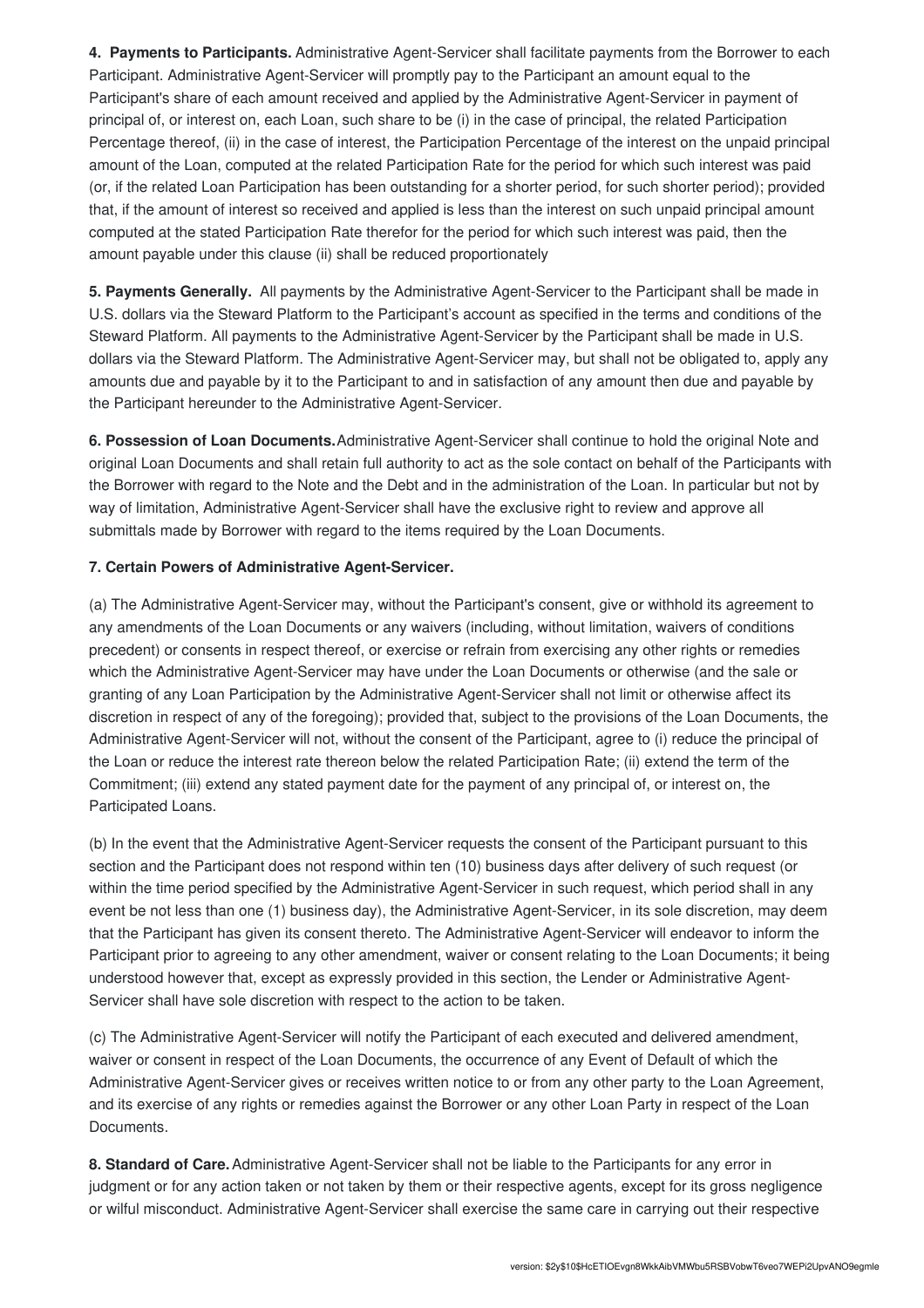**4. Payments to Participants.** Administrative Agent-Servicer shall facilitate payments from the Borrower to each Participant. Administrative Agent-Servicer will promptly pay to the Participant an amount equal to the Participant's share of each amount received and applied by the Administrative Agent-Servicer in payment of principal of, or interest on, each Loan, such share to be (i) in the case of principal, the related Participation Percentage thereof, (ii) in the case of interest, the Participation Percentage of the interest on the unpaid principal amount of the Loan, computed at the related Participation Rate for the period for which such interest was paid (or, if the related Loan Participation has been outstanding for a shorter period, for such shorter period); provided that, if the amount of interest so received and applied is less than the interest on such unpaid principal amount computed at the stated Participation Rate therefor for the period for which such interest was paid, then the amount payable under this clause (ii) shall be reduced proportionately

**5. Payments Generally.** All payments by the Administrative Agent-Servicer to the Participant shall be made in U.S. dollars via the Steward Platform to the Participant's account as specified in the terms and conditions of the Steward Platform. All payments to the Administrative Agent-Servicer by the Participant shall be made in U.S. dollars via the Steward Platform. The Administrative Agent-Servicer may, but shall not be obligated to, apply any amounts due and payable by it to the Participant to and in satisfaction of any amount then due and payable by the Participant hereunder to the Administrative Agent-Servicer.

**6. Possession of Loan Documents.**Administrative Agent-Servicer shall continue to hold the original Note and original Loan Documents and shall retain full authority to act as the sole contact on behalf of the Participants with the Borrower with regard to the Note and the Debt and in the administration of the Loan. In particular but not by way of limitation, Administrative Agent-Servicer shall have the exclusive right to review and approve all submittals made by Borrower with regard to the items required by the Loan Documents.

#### **7. Certain Powers of Administrative Agent-Servicer.**

(a) The Administrative Agent-Servicer may, without the Participant's consent, give or withhold its agreement to any amendments of the Loan Documents or any waivers (including, without limitation, waivers of conditions precedent) or consents in respect thereof, or exercise or refrain from exercising any other rights or remedies which the Administrative Agent-Servicer may have under the Loan Documents or otherwise (and the sale or granting of any Loan Participation by the Administrative Agent-Servicer shall not limit or otherwise affect its discretion in respect of any of the foregoing); provided that, subject to the provisions of the Loan Documents, the Administrative Agent-Servicer will not, without the consent of the Participant, agree to (i) reduce the principal of the Loan or reduce the interest rate thereon below the related Participation Rate; (ii) extend the term of the Commitment; (iii) extend any stated payment date for the payment of any principal of, or interest on, the Participated Loans.

(b) In the event that the Administrative Agent-Servicer requests the consent of the Participant pursuant to this section and the Participant does not respond within ten (10) business days after delivery of such request (or within the time period specified by the Administrative Agent-Servicer in such request, which period shall in any event be not less than one (1) business day), the Administrative Agent-Servicer, in its sole discretion, may deem that the Participant has given its consent thereto. The Administrative Agent-Servicer will endeavor to inform the Participant prior to agreeing to any other amendment, waiver or consent relating to the Loan Documents; it being understood however that, except as expressly provided in this section, the Lender or Administrative Agent-Servicer shall have sole discretion with respect to the action to be taken.

(c) The Administrative Agent-Servicer will notify the Participant of each executed and delivered amendment, waiver or consent in respect of the Loan Documents, the occurrence of any Event of Default of which the Administrative Agent-Servicer gives or receives written notice to or from any other party to the Loan Agreement, and its exercise of any rights or remedies against the Borrower or any other Loan Party in respect of the Loan Documents.

**8. Standard of Care.**Administrative Agent-Servicer shall not be liable to the Participants for any error in judgment or for any action taken or not taken by them or their respective agents, except for its gross negligence or wilful misconduct. Administrative Agent-Servicer shall exercise the same care in carrying out their respective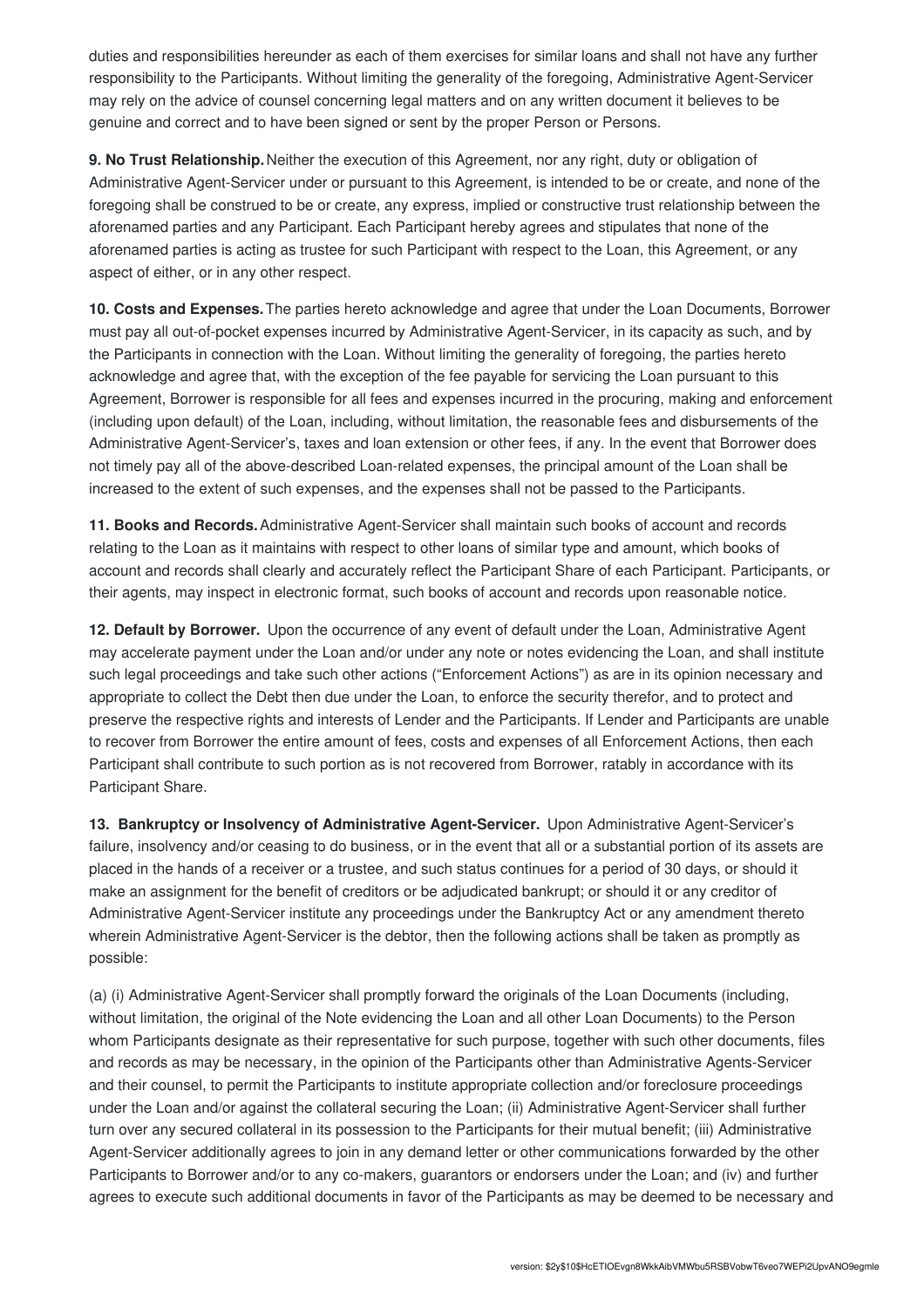duties and responsibilities hereunder as each of them exercises for similar loans and shall not have any further responsibility to the Participants. Without limiting the generality of the foregoing, Administrative Agent-Servicer may rely on the advice of counsel concerning legal matters and on any written document it believes to be genuine and correct and to have been signed or sent by the proper Person or Persons.

**9. No Trust Relationship.**Neither the execution of this Agreement, nor any right, duty or obligation of Administrative Agent-Servicer under or pursuant to this Agreement, is intended to be or create, and none of the foregoing shall be construed to be or create, any express, implied or constructive trust relationship between the aforenamed parties and any Participant. Each Participant hereby agrees and stipulates that none of the aforenamed parties is acting as trustee for such Participant with respect to the Loan, this Agreement, or any aspect of either, or in any other respect.

**10. Costs and Expenses.**The parties hereto acknowledge and agree that under the Loan Documents, Borrower must pay all out-of-pocket expenses incurred by Administrative Agent-Servicer, in its capacity as such, and by the Participants in connection with the Loan. Without limiting the generality of foregoing, the parties hereto acknowledge and agree that, with the exception of the fee payable for servicing the Loan pursuant to this Agreement, Borrower is responsible for all fees and expenses incurred in the procuring, making and enforcement (including upon default) of the Loan, including, without limitation, the reasonable fees and disbursements of the Administrative Agent-Servicer's, taxes and loan extension or other fees, if any. In the event that Borrower does not timely pay all of the above-described Loan-related expenses, the principal amount of the Loan shall be increased to the extent of such expenses, and the expenses shall not be passed to the Participants.

**11. Books and Records.**Administrative Agent-Servicer shall maintain such books of account and records relating to the Loan as it maintains with respect to other loans of similar type and amount, which books of account and records shall clearly and accurately reflect the Participant Share of each Participant. Participants, or their agents, may inspect in electronic format, such books of account and records upon reasonable notice.

**12. Default by Borrower.** Upon the occurrence of any event of default under the Loan, Administrative Agent may accelerate payment under the Loan and/or under any note or notes evidencing the Loan, and shall institute such legal proceedings and take such other actions ("Enforcement Actions") as are in its opinion necessary and appropriate to collect the Debt then due under the Loan, to enforce the security therefor, and to protect and preserve the respective rights and interests of Lender and the Participants. If Lender and Participants are unable to recover from Borrower the entire amount of fees, costs and expenses of all Enforcement Actions, then each Participant shall contribute to such portion as is not recovered from Borrower, ratably in accordance with its Participant Share.

**13. Bankruptcy or Insolvency of Administrative Agent-Servicer.** Upon Administrative Agent-Servicer's failure, insolvency and/or ceasing to do business, or in the event that all or a substantial portion of its assets are placed in the hands of a receiver or a trustee, and such status continues for a period of 30 days, or should it make an assignment for the benefit of creditors or be adjudicated bankrupt; or should it or any creditor of Administrative Agent-Servicer institute any proceedings under the Bankruptcy Act or any amendment thereto wherein Administrative Agent-Servicer is the debtor, then the following actions shall be taken as promptly as possible:

(a) (i) Administrative Agent-Servicer shall promptly forward the originals of the Loan Documents (including, without limitation, the original of the Note evidencing the Loan and all other Loan Documents) to the Person whom Participants designate as their representative for such purpose, together with such other documents, files and records as may be necessary, in the opinion of the Participants other than Administrative Agents-Servicer and their counsel, to permit the Participants to institute appropriate collection and/or foreclosure proceedings under the Loan and/or against the collateral securing the Loan; (ii) Administrative Agent-Servicer shall further turn over any secured collateral in its possession to the Participants for their mutual benefit; (iii) Administrative Agent-Servicer additionally agrees to join in any demand letter or other communications forwarded by the other Participants to Borrower and/or to any co-makers, guarantors or endorsers under the Loan; and (iv) and further agrees to execute such additional documents in favor of the Participants as may be deemed to be necessary and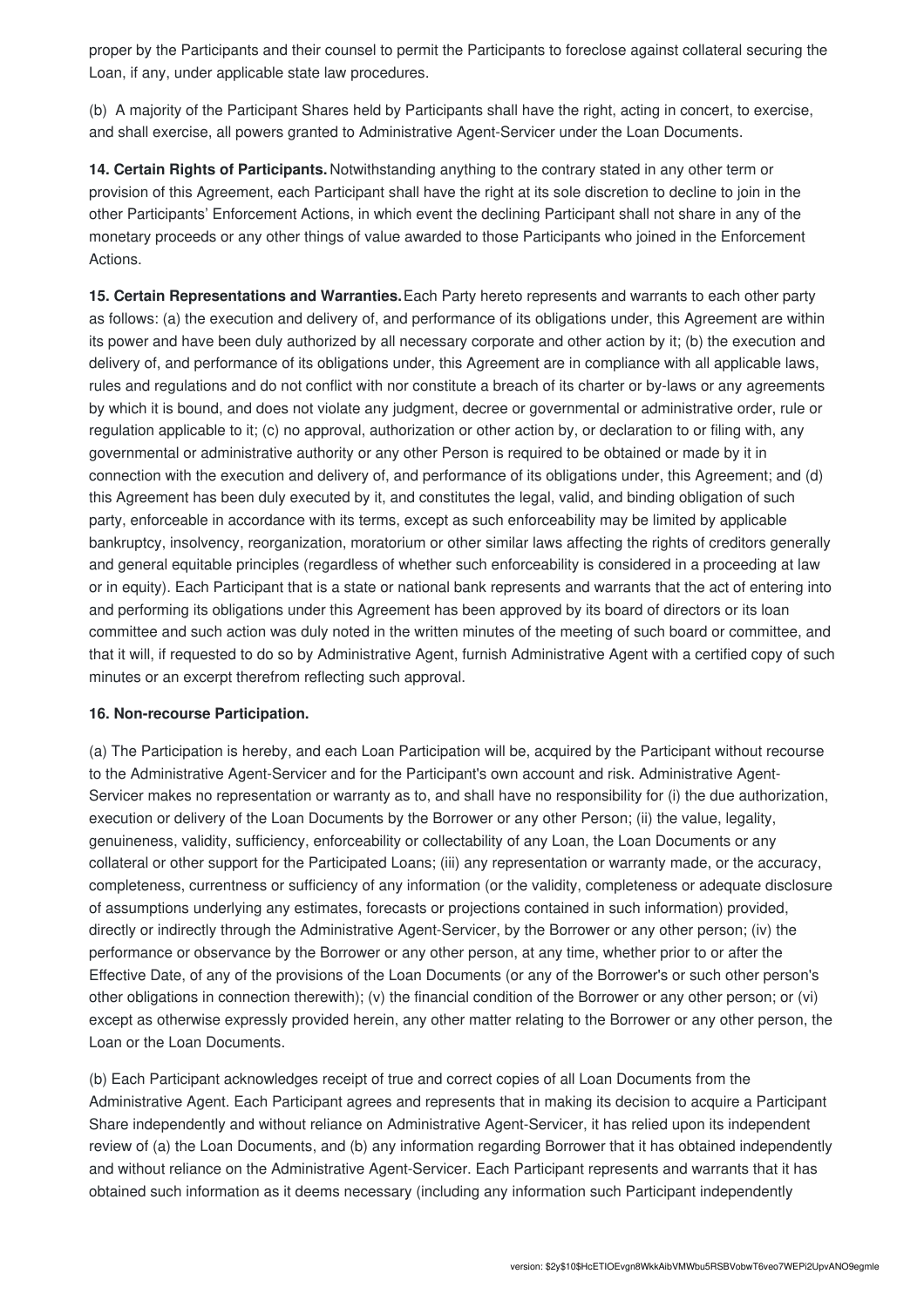proper by the Participants and their counsel to permit the Participants to foreclose against collateral securing the Loan, if any, under applicable state law procedures.

(b) A majority of the Participant Shares held by Participants shall have the right, acting in concert, to exercise, and shall exercise, all powers granted to Administrative Agent-Servicer under the Loan Documents.

**14. Certain Rights of Participants.** Notwithstanding anything to the contrary stated in any other term or provision of this Agreement, each Participant shall have the right at its sole discretion to decline to join in the other Participants' Enforcement Actions, in which event the declining Participant shall not share in any of the monetary proceeds or any other things of value awarded to those Participants who joined in the Enforcement Actions.

**15. Certain Representations and Warranties.**Each Party hereto represents and warrants to each other party as follows: (a) the execution and delivery of, and performance of its obligations under, this Agreement are within its power and have been duly authorized by all necessary corporate and other action by it; (b) the execution and delivery of, and performance of its obligations under, this Agreement are in compliance with all applicable laws, rules and regulations and do not conflict with nor constitute a breach of its charter or by-laws or any agreements by which it is bound, and does not violate any judgment, decree or governmental or administrative order, rule or regulation applicable to it; (c) no approval, authorization or other action by, or declaration to or filing with, any governmental or administrative authority or any other Person is required to be obtained or made by it in connection with the execution and delivery of, and performance of its obligations under, this Agreement; and (d) this Agreement has been duly executed by it, and constitutes the legal, valid, and binding obligation of such party, enforceable in accordance with its terms, except as such enforceability may be limited by applicable bankruptcy, insolvency, reorganization, moratorium or other similar laws affecting the rights of creditors generally and general equitable principles (regardless of whether such enforceability is considered in a proceeding at law or in equity). Each Participant that is a state or national bank represents and warrants that the act of entering into and performing its obligations under this Agreement has been approved by its board of directors or its loan committee and such action was duly noted in the written minutes of the meeting of such board or committee, and that it will, if requested to do so by Administrative Agent, furnish Administrative Agent with a certified copy of such minutes or an excerpt therefrom reflecting such approval.

#### **16. Non-recourse Participation.**

(a) The Participation is hereby, and each Loan Participation will be, acquired by the Participant without recourse to the Administrative Agent-Servicer and for the Participant's own account and risk. Administrative Agent-Servicer makes no representation or warranty as to, and shall have no responsibility for (i) the due authorization, execution or delivery of the Loan Documents by the Borrower or any other Person; (ii) the value, legality, genuineness, validity, sufficiency, enforceability or collectability of any Loan, the Loan Documents or any collateral or other support for the Participated Loans; (iii) any representation or warranty made, or the accuracy, completeness, currentness or sufficiency of any information (or the validity, completeness or adequate disclosure of assumptions underlying any estimates, forecasts or projections contained in such information) provided, directly or indirectly through the Administrative Agent-Servicer, by the Borrower or any other person; (iv) the performance or observance by the Borrower or any other person, at any time, whether prior to or after the Effective Date, of any of the provisions of the Loan Documents (or any of the Borrower's or such other person's other obligations in connection therewith); (v) the financial condition of the Borrower or any other person; or (vi) except as otherwise expressly provided herein, any other matter relating to the Borrower or any other person, the Loan or the Loan Documents.

(b) Each Participant acknowledges receipt of true and correct copies of all Loan Documents from the Administrative Agent. Each Participant agrees and represents that in making its decision to acquire a Participant Share independently and without reliance on Administrative Agent-Servicer, it has relied upon its independent review of (a) the Loan Documents, and (b) any information regarding Borrower that it has obtained independently and without reliance on the Administrative Agent-Servicer. Each Participant represents and warrants that it has obtained such information as it deems necessary (including any information such Participant independently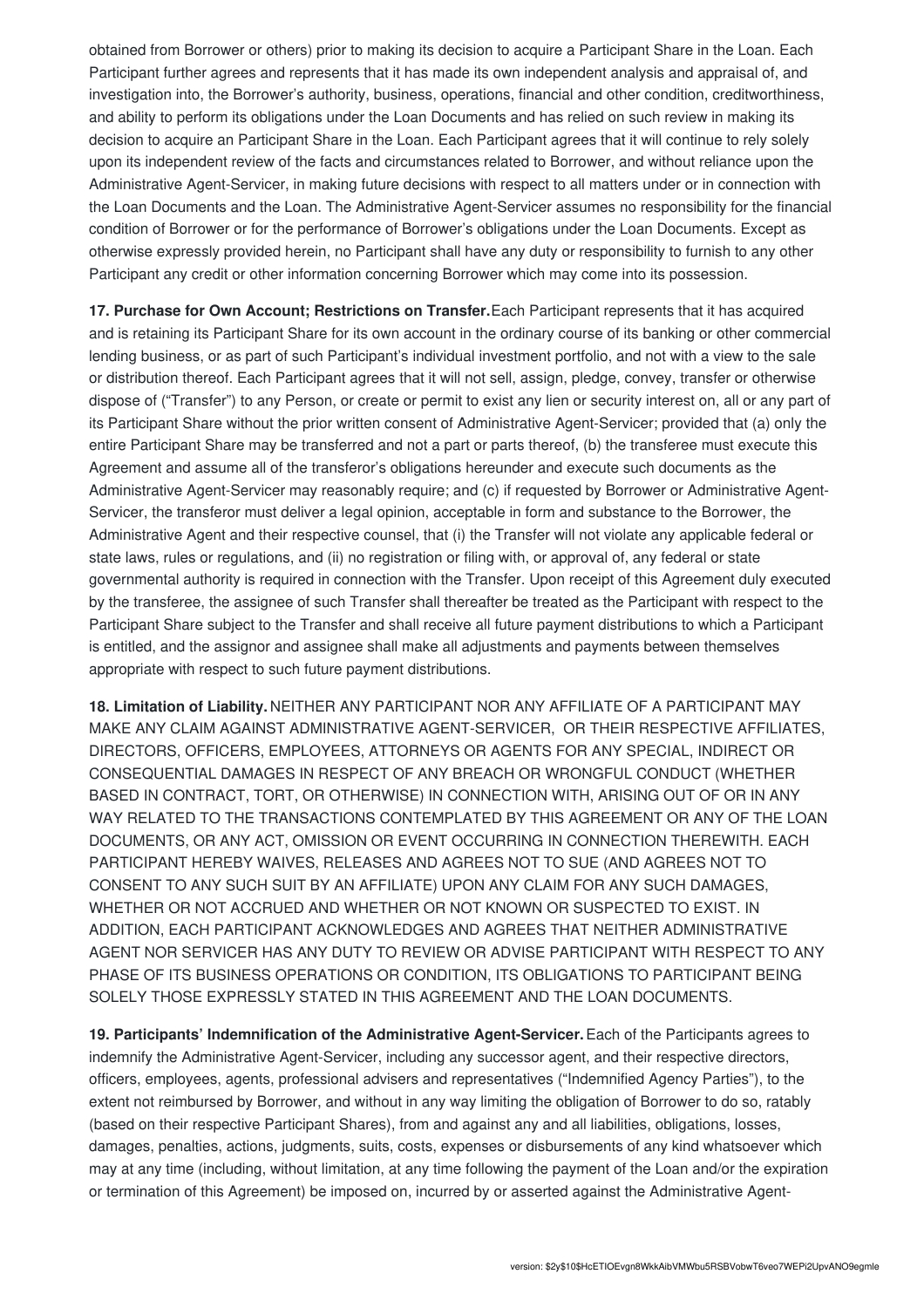obtained from Borrower or others) prior to making its decision to acquire a Participant Share in the Loan. Each Participant further agrees and represents that it has made its own independent analysis and appraisal of, and investigation into, the Borrower's authority, business, operations, financial and other condition, creditworthiness, and ability to perform its obligations under the Loan Documents and has relied on such review in making its decision to acquire an Participant Share in the Loan. Each Participant agrees that it will continue to rely solely upon its independent review of the facts and circumstances related to Borrower, and without reliance upon the Administrative Agent-Servicer, in making future decisions with respect to all matters under or in connection with the Loan Documents and the Loan. The Administrative Agent-Servicer assumes no responsibility for the financial condition of Borrower or for the performance of Borrower's obligations under the Loan Documents. Except as otherwise expressly provided herein, no Participant shall have any duty or responsibility to furnish to any other Participant any credit or other information concerning Borrower which may come into its possession.

**17. Purchase for Own Account; Restrictions on Transfer.**Each Participant represents that it has acquired and is retaining its Participant Share for its own account in the ordinary course of its banking or other commercial lending business, or as part of such Participant's individual investment portfolio, and not with a view to the sale or distribution thereof. Each Participant agrees that it will not sell, assign, pledge, convey, transfer or otherwise dispose of ("Transfer") to any Person, or create or permit to exist any lien or security interest on, all or any part of its Participant Share without the prior written consent of Administrative Agent-Servicer; provided that (a) only the entire Participant Share may be transferred and not a part or parts thereof, (b) the transferee must execute this Agreement and assume all of the transferor's obligations hereunder and execute such documents as the Administrative Agent-Servicer may reasonably require; and (c) if requested by Borrower or Administrative Agent-Servicer, the transferor must deliver a legal opinion, acceptable in form and substance to the Borrower, the Administrative Agent and their respective counsel, that (i) the Transfer will not violate any applicable federal or state laws, rules or regulations, and (ii) no registration or filing with, or approval of, any federal or state governmental authority is required in connection with the Transfer. Upon receipt of this Agreement duly executed by the transferee, the assignee of such Transfer shall thereafter be treated as the Participant with respect to the Participant Share subject to the Transfer and shall receive all future payment distributions to which a Participant is entitled, and the assignor and assignee shall make all adjustments and payments between themselves appropriate with respect to such future payment distributions.

**18. Limitation of Liability.** NEITHER ANY PARTICIPANT NOR ANY AFFILIATE OF A PARTICIPANT MAY MAKE ANY CLAIM AGAINST ADMINISTRATIVE AGENT-SERVICER, OR THEIR RESPECTIVE AFFILIATES, DIRECTORS, OFFICERS, EMPLOYEES, ATTORNEYS OR AGENTS FOR ANY SPECIAL, INDIRECT OR CONSEQUENTIAL DAMAGES IN RESPECT OF ANY BREACH OR WRONGFUL CONDUCT (WHETHER BASED IN CONTRACT, TORT, OR OTHERWISE) IN CONNECTION WITH, ARISING OUT OF OR IN ANY WAY RELATED TO THE TRANSACTIONS CONTEMPLATED BY THIS AGREEMENT OR ANY OF THE LOAN DOCUMENTS, OR ANY ACT, OMISSION OR EVENT OCCURRING IN CONNECTION THEREWITH. EACH PARTICIPANT HEREBY WAIVES, RELEASES AND AGREES NOT TO SUE (AND AGREES NOT TO CONSENT TO ANY SUCH SUIT BY AN AFFILIATE) UPON ANY CLAIM FOR ANY SUCH DAMAGES, WHETHER OR NOT ACCRUED AND WHETHER OR NOT KNOWN OR SUSPECTED TO EXIST. IN ADDITION, EACH PARTICIPANT ACKNOWLEDGES AND AGREES THAT NEITHER ADMINISTRATIVE AGENT NOR SERVICER HAS ANY DUTY TO REVIEW OR ADVISE PARTICIPANT WITH RESPECT TO ANY PHASE OF ITS BUSINESS OPERATIONS OR CONDITION, ITS OBLIGATIONS TO PARTICIPANT BEING SOLELY THOSE EXPRESSLY STATED IN THIS AGREEMENT AND THE LOAN DOCUMENTS.

**19. Participants' Indemnification of the Administrative Agent-Servicer.**Each of the Participants agrees to indemnify the Administrative Agent-Servicer, including any successor agent, and their respective directors, officers, employees, agents, professional advisers and representatives ("Indemnified Agency Parties"), to the extent not reimbursed by Borrower, and without in any way limiting the obligation of Borrower to do so, ratably (based on their respective Participant Shares), from and against any and all liabilities, obligations, losses, damages, penalties, actions, judgments, suits, costs, expenses or disbursements of any kind whatsoever which may at any time (including, without limitation, at any time following the payment of the Loan and/or the expiration or termination of this Agreement) be imposed on, incurred by or asserted against the Administrative Agent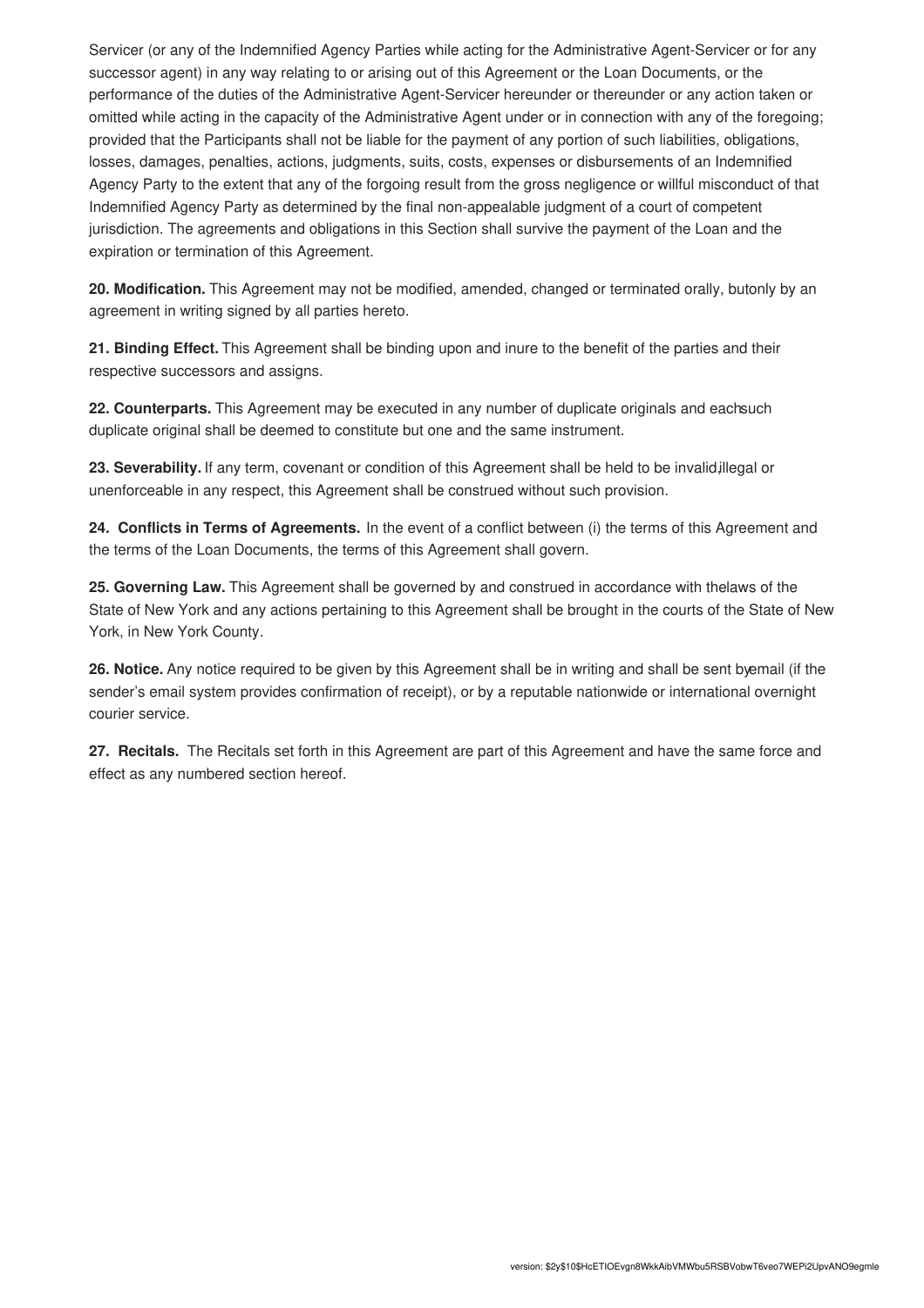Servicer (or any of the Indemnified Agency Parties while acting for the Administrative Agent-Servicer or for any successor agent) in any way relating to or arising out of this Agreement or the Loan Documents, or the performance of the duties of the Administrative Agent-Servicer hereunder or thereunder or any action taken or omitted while acting in the capacity of the Administrative Agent under or in connection with any of the foregoing; provided that the Participants shall not be liable for the payment of any portion of such liabilities, obligations, losses, damages, penalties, actions, judgments, suits, costs, expenses or disbursements of an Indemnified Agency Party to the extent that any of the forgoing result from the gross negligence or willful misconduct of that Indemnified Agency Party as determined by the final non-appealable judgment of a court of competent jurisdiction. The agreements and obligations in this Section shall survive the payment of the Loan and the expiration or termination of this Agreement.

**20. Modification.** This Agreement may not be modified, amended, changed or terminated orally, butonly by an agreement in writing signed by all parties hereto.

**21. Binding Effect.** This Agreement shall be binding upon and inure to the benefit of the parties and their respective successors and assigns.

**22. Counterparts.** This Agreement may be executed in any number of duplicate originals and eachsuch duplicate original shall be deemed to constitute but one and the same instrument.

**23. Severability.** If any term, covenant or condition of this Agreement shall be held to be invalid,illegal or unenforceable in any respect, this Agreement shall be construed without such provision.

**24. Conflicts in Terms of Agreements.** In the event of a conflict between (i) the terms of this Agreement and the terms of the Loan Documents, the terms of this Agreement shall govern.

**25. Governing Law.** This Agreement shall be governed by and construed in accordance with thelaws of the State of New York and any actions pertaining to this Agreement shall be brought in the courts of the State of New York, in New York County.

**26. Notice.** Any notice required to be given by this Agreement shall be in writing and shall be sent byemail (if the sender's email system provides confirmation of receipt), or by a reputable nationwide or international overnight courier service.

**27. Recitals.** The Recitals set forth in this Agreement are part of this Agreement and have the same force and effect as any numbered section hereof.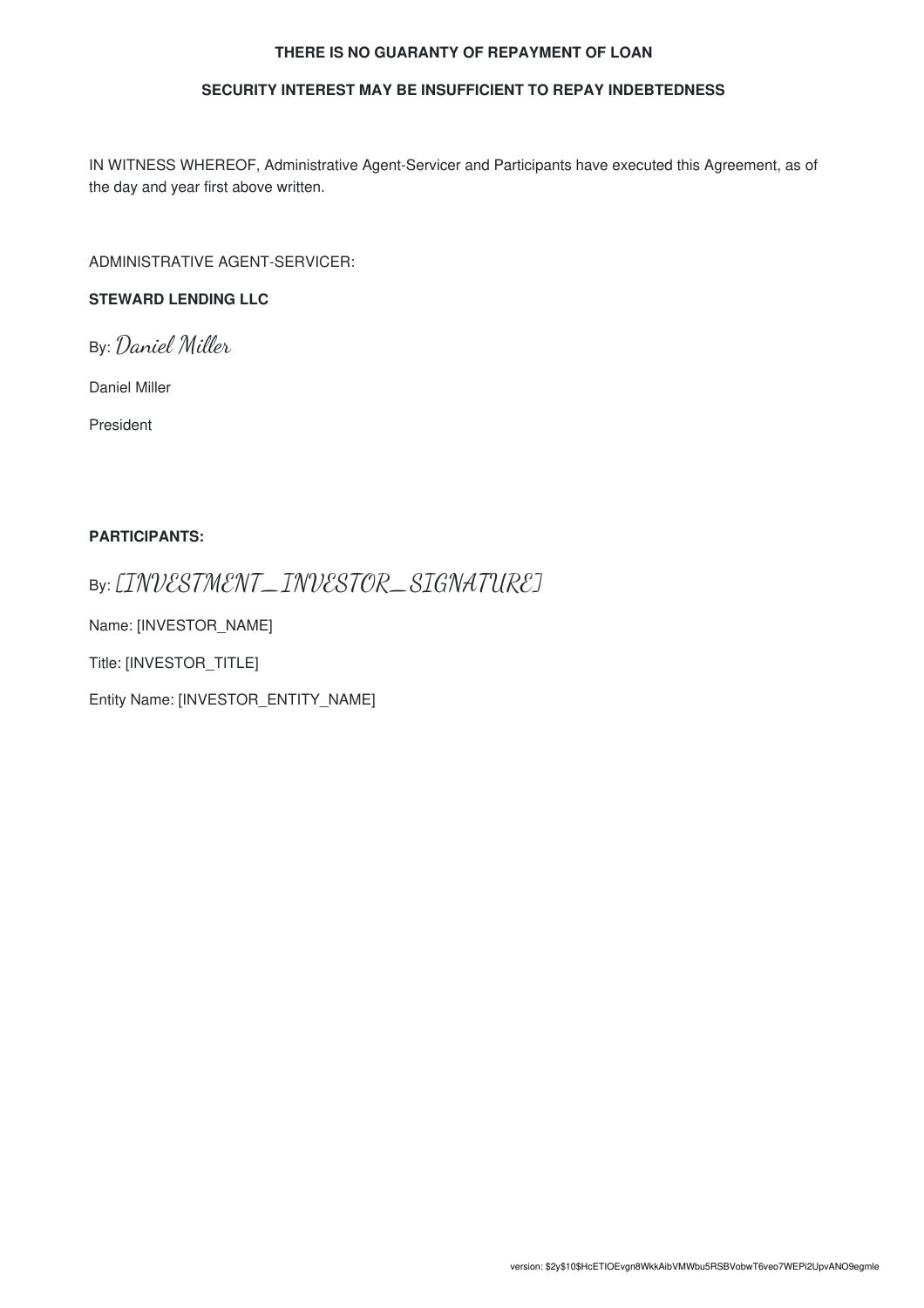#### **THERE IS NO GUARANTY OF REPAYMENT OF LOAN**

#### **SECURITY INTEREST MAY BE INSUFFICIENT TO REPAY INDEBTEDNESS**

IN WITNESS WHEREOF, Administrative Agent-Servicer and Participants have executed this Agreement, as of the day and year first above written.

ADMINISTRATIVE AGENT-SERVICER:

#### **STEWARD LENDING LLC**

By: Daniel Miller

Daniel Miller

President

#### **PARTICIPANTS:**

### By: [INVESTMENT\_INVESTOR\_SIGNATURE]

Name: [INVESTOR\_NAME]

Title: [INVESTOR\_TITLE]

Entity Name: [INVESTOR\_ENTITY\_NAME]